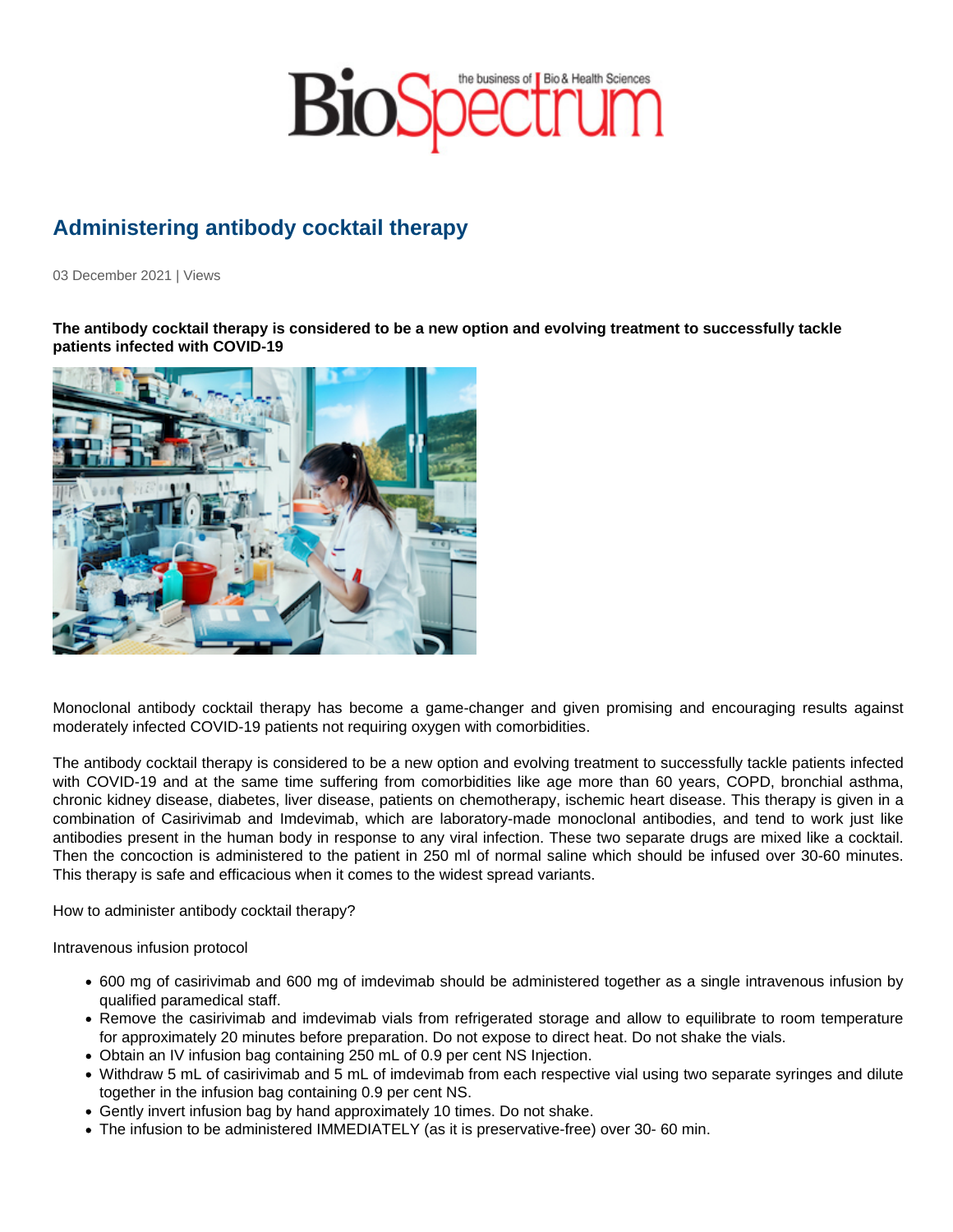## Administering antibody cocktail therapy

03 December 2021 | Views

The antibody cocktail therapy is considered to be a new option and evolving treatment to successfully tackle patients infected with COVID-19

Monoclonal antibody cocktail therapy has become a game-changer and given promising and encouraging results against moderately infected COVID-19 patients not requiring oxygen with comorbidities.

The antibody cocktail therapy is considered to be a new option and evolving treatment to successfully tackle patients infected with COVID-19 and at the same time suffering from comorbidities like age more than 60 years, COPD, bronchial asthma, chronic kidney disease, diabetes, liver disease, patients on chemotherapy, ischemic heart disease. This therapy is given in a combination of Casirivimab and Imdevimab, which are laboratory-made monoclonal antibodies, and tend to work just like antibodies present in the human body in response to any viral infection. These two separate drugs are mixed like a cocktail. Then the concoction is administered to the patient in 250 ml of normal saline which should be infused over 30-60 minutes. This therapy is safe and efficacious when it comes to the widest spread variants.

How to administer antibody cocktail therapy?

Intravenous infusion protocol

- 600 mg of casirivimab and 600 mg of imdevimab should be administered together as a single intravenous infusion by qualified paramedical staff.
- Remove the casirivimab and imdevimab vials from refrigerated storage and allow to equilibrate to room temperature for approximately 20 minutes before preparation. Do not expose to direct heat. Do not shake the vials.
- Obtain an IV infusion bag containing 250 mL of 0.9 per cent NS Injection.
- Withdraw 5 mL of casirivimab and 5 mL of imdevimab from each respective vial using two separate syringes and dilute together in the infusion bag containing 0.9 per cent NS.
- Gently invert infusion bag by hand approximately 10 times. Do not shake.
- The infusion to be administered IMMEDIATELY (as it is preservative-free) over 30- 60 min.